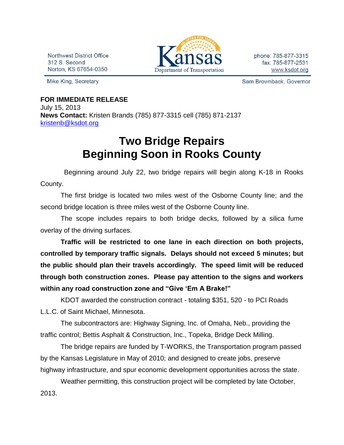Northwest District Office 312 S. Second Norton, KS 67654-0350

Mike King, Secretary



phone: 785-877-3315 fax: 785-877-2531 www.ksdot.org

Sam Brownback, Governor

## **FOR IMMEDIATE RELEASE** July 15, 2013 **News Contact:** Kristen Brands (785) 877-3315 cell (785) 871-2137 [kristenb@ksdot.org](mailto:kristenb@ksdot.org)

## **Two Bridge Repairs Beginning Soon in Rooks County**

 Beginning around July 22, two bridge repairs will begin along K-18 in Rooks County.

The first bridge is located two miles west of the Osborne County line; and the second bridge location is three miles west of the Osborne County line.

The scope includes repairs to both bridge decks, followed by a silica fume overlay of the driving surfaces.

**Traffic will be restricted to one lane in each direction on both projects, controlled by temporary traffic signals. Delays should not exceed 5 minutes; but the public should plan their travels accordingly. The speed limit will be reduced through both construction zones. Please pay attention to the signs and workers within any road construction zone and "Give 'Em A Brake!"**

KDOT awarded the construction contract - totaling \$351, 520 - to PCI Roads L.L.C. of Saint Michael, Minnesota.

The subcontractors are: Highway Signing, Inc. of Omaha, Neb., providing the traffic control; Bettis Asphalt & Construction, Inc., Topeka, Bridge Deck Milling.

The bridge repairs are funded by T-WORKS, the Transportation program passed by the Kansas Legislature in May of 2010; and designed to create jobs, preserve highway infrastructure, and spur economic development opportunities across the state.

Weather permitting, this construction project will be completed by late October, 2013.